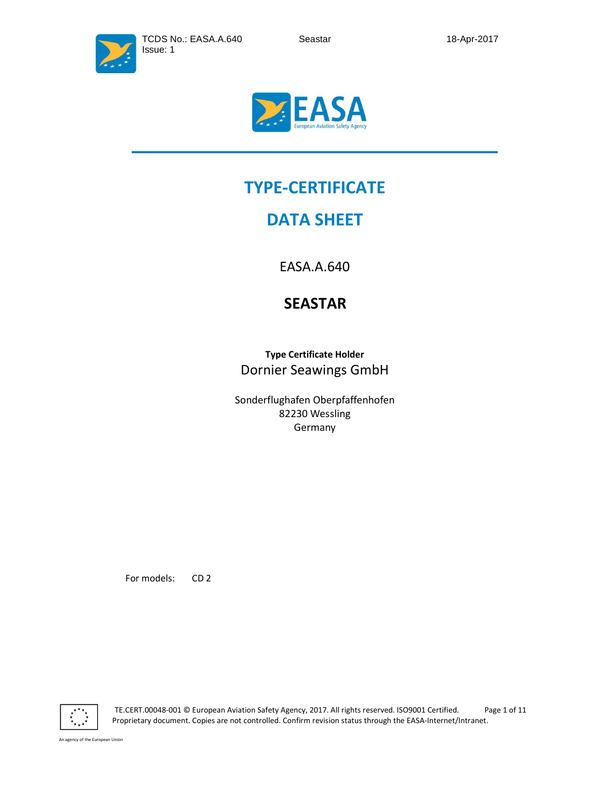



# **TYPE-CERTIFICATE**

# **DATA SHEET**

EASA.A.640

# **SEASTAR**

**Type Certificate Holder**  Dornier Seawings GmbH

Sonderflughafen Oberpfaffenhofen 82230 Wessling Germany

For models: CD 2



 TE.CERT.00048-001 © European Aviation Safety Agency, 2017. All rights reserved. ISO9001 Certified. Page 1 of 11 Proprietary document. Copies are not controlled. Confirm revision status through the EASA-Internet/Intranet.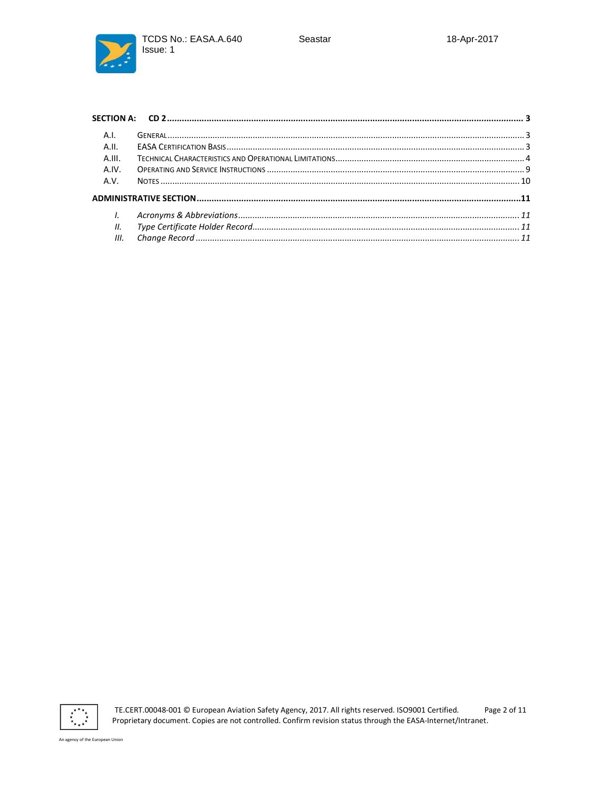TCDS No.: EASA.A.640 Issue: 1



| A.I.   |  |
|--------|--|
| A.H.   |  |
| A.III. |  |
| A.IV.  |  |
| A.V.   |  |
|        |  |
| I.     |  |
| II.    |  |
| III.   |  |



TE.CERT.00048-001 © European Aviation Safety Agency, 2017. All rights reserved. ISO9001 Certified. Page 2 of 11 Proprietary document. Copies are not controlled. Confirm revision status through the EASA-Internet/Intranet.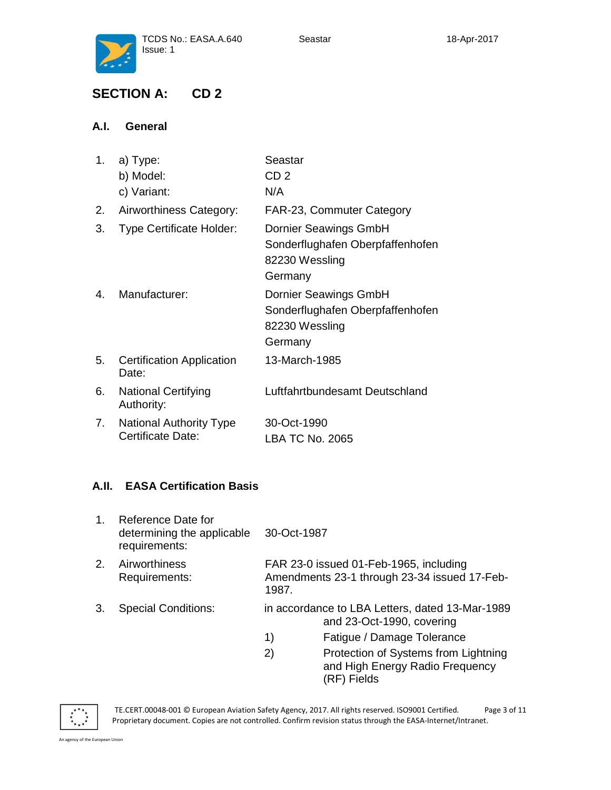

# **SECTION A: CD 2**

# **A.I. General**

| 1. | a) Type:                                  | Seastar                          |
|----|-------------------------------------------|----------------------------------|
|    | b) Model:                                 | CD <sub>2</sub>                  |
|    | c) Variant:                               | N/A                              |
| 2. | Airworthiness Category:                   | FAR-23, Commuter Category        |
| 3. | <b>Type Certificate Holder:</b>           | Dornier Seawings GmbH            |
|    |                                           | Sonderflughafen Oberpfaffenhofen |
|    |                                           | 82230 Wessling                   |
|    |                                           | Germany                          |
| 4. | Manufacturer:                             | Dornier Seawings GmbH            |
|    |                                           | Sonderflughafen Oberpfaffenhofen |
|    |                                           | 82230 Wessling                   |
|    |                                           | Germany                          |
| 5. | <b>Certification Application</b><br>Date: | 13-March-1985                    |
| 6. | <b>National Certifying</b><br>Authority:  | Luftfahrtbundesamt Deutschland   |
| 7. | <b>National Authority Type</b>            | 30-Oct-1990                      |
|    | Certificate Date:                         | <b>LBA TC No. 2065</b>           |

# **A.II. EASA Certification Basis**

| 1. | Reference Date for<br>determining the applicable<br>requirements: | 30-Oct-1987                                                                                     |
|----|-------------------------------------------------------------------|-------------------------------------------------------------------------------------------------|
| 2. | Airworthiness<br>Requirements:                                    | FAR 23-0 issued 01-Feb-1965, including<br>Amendments 23-1 through 23-34 issued 17-Feb-<br>1987. |
| 3. | <b>Special Conditions:</b>                                        | in accordance to LBA Letters, dated 13-Mar-1989<br>and 23-Oct-1990, covering                    |
|    |                                                                   | Fatigue / Damage Tolerance<br>1)                                                                |
|    |                                                                   | Protection of Systems from Lightning<br>2)<br>and High Energy Radio Frequency                   |



 TE.CERT.00048-001 © European Aviation Safety Agency, 2017. All rights reserved. ISO9001 Certified. Page 3 of 11 Proprietary document. Copies are not controlled. Confirm revision status through the EASA-Internet/Intranet.

(RF) Fields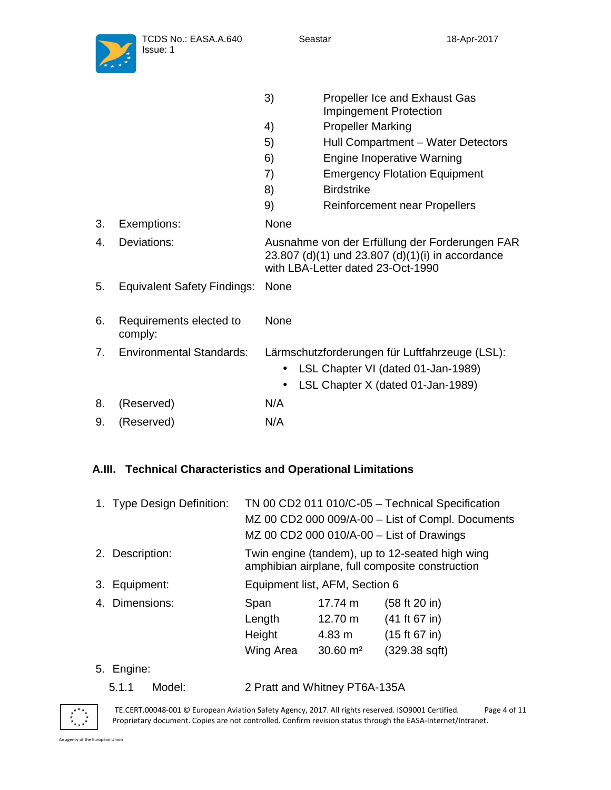

|    |                                    | 3)   | <b>Propeller Ice and Exhaust Gas</b><br><b>Impingement Protection</b>                                                                   |
|----|------------------------------------|------|-----------------------------------------------------------------------------------------------------------------------------------------|
|    |                                    | 4)   | <b>Propeller Marking</b>                                                                                                                |
|    |                                    | 5)   | Hull Compartment - Water Detectors                                                                                                      |
|    |                                    | 6)   | <b>Engine Inoperative Warning</b>                                                                                                       |
|    |                                    | 7)   | <b>Emergency Flotation Equipment</b>                                                                                                    |
|    |                                    | 8)   | <b>Birdstrike</b>                                                                                                                       |
|    |                                    | 9)   | <b>Reinforcement near Propellers</b>                                                                                                    |
| 3. | Exemptions:                        | None |                                                                                                                                         |
| 4. | Deviations:                        |      | Ausnahme von der Erfüllung der Forderungen FAR<br>23.807 (d)(1) und 23.807 (d)(1)(i) in accordance<br>with LBA-Letter dated 23-Oct-1990 |
| 5. | <b>Equivalent Safety Findings:</b> | None |                                                                                                                                         |
| 6. | Requirements elected to<br>comply: | None |                                                                                                                                         |
| 7. | <b>Environmental Standards:</b>    |      | Lärmschutzforderungen für Luftfahrzeuge (LSL):<br>LSL Chapter VI (dated 01-Jan-1989)<br>LSL Chapter X (dated 01-Jan-1989)               |
| 8. | (Reserved)                         | N/A  |                                                                                                                                         |
| 9. | (Reserved)                         | N/A  |                                                                                                                                         |
|    |                                    |      |                                                                                                                                         |

# **A.III. Technical Characteristics and Operational Limitations**

|    | 1. Type Design Definition: | TN 00 CD2 011 010/C-05 - Technical Specification                                                   |                     |                                           |
|----|----------------------------|----------------------------------------------------------------------------------------------------|---------------------|-------------------------------------------|
|    |                            | MZ 00 CD2 000 009/A-00 - List of Compl. Documents                                                  |                     |                                           |
|    |                            |                                                                                                    |                     | MZ 00 CD2 000 010/A-00 - List of Drawings |
|    | 2. Description:            | Twin engine (tandem), up to 12-seated high wing<br>amphibian airplane, full composite construction |                     |                                           |
|    | 3. Equipment:              | Equipment list, AFM, Section 6                                                                     |                     |                                           |
|    | 4. Dimensions:             | Span                                                                                               | 17.74 m             | (58 ft 20 in)                             |
|    |                            | Length                                                                                             | 12.70 m             | (41 ft 67 in)                             |
|    |                            | Height                                                                                             | 4.83 m              | (15 ft 67 in)                             |
|    |                            | Wing Area                                                                                          | $30.60 \text{ m}^2$ | (329.38 sqft)                             |
| 5. | Engine:                    |                                                                                                    |                     |                                           |

5.1.1 Model: 2 Pratt and Whitney PT6A-135A



 TE.CERT.00048-001 © European Aviation Safety Agency, 2017. All rights reserved. ISO9001 Certified. Page 4 of 11 Proprietary document. Copies are not controlled. Confirm revision status through the EASA-Internet/Intranet.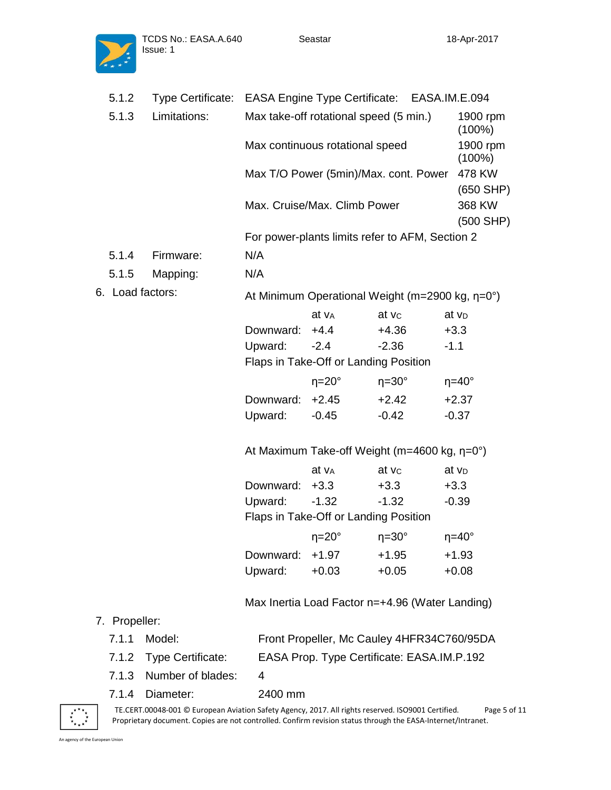

|                       | 5.1.2            | Type Certificate: EASA Engine Type Certificate: EASA.IM.E.094 |           |                                        |                                                                |                       |
|-----------------------|------------------|---------------------------------------------------------------|-----------|----------------------------------------|----------------------------------------------------------------|-----------------------|
| Limitations:<br>5.1.3 |                  |                                                               |           | Max take-off rotational speed (5 min.) |                                                                | 1900 rpm<br>$(100\%)$ |
|                       |                  |                                                               |           | Max continuous rotational speed        |                                                                | 1900 rpm<br>$(100\%)$ |
|                       |                  |                                                               |           |                                        | Max T/O Power (5min)/Max. cont. Power                          | 478 KW                |
|                       |                  |                                                               |           | Max. Cruise/Max. Climb Power           |                                                                | $(650$ SHP)<br>368 KW |
|                       |                  |                                                               |           |                                        |                                                                | $(500$ SHP)           |
|                       |                  |                                                               |           |                                        | For power-plants limits refer to AFM, Section 2                |                       |
|                       | 5.1.4            | Firmware:                                                     | N/A       |                                        |                                                                |                       |
|                       | 5.1.5            | Mapping:                                                      | N/A       |                                        |                                                                |                       |
|                       | 6. Load factors: |                                                               |           |                                        | At Minimum Operational Weight (m=2900 kg, $\eta = 0^{\circ}$ ) |                       |
|                       |                  |                                                               |           | at v <sub>A</sub>                      | at vc                                                          | at v <sub>D</sub>     |
|                       |                  |                                                               | Downward: | $+4.4$                                 | $+4.36$                                                        | $+3.3$                |
|                       |                  |                                                               | Upward:   | $-2.4$                                 | $-2.36$                                                        | $-1.1$                |
|                       |                  |                                                               |           | Flaps in Take-Off or Landing Position  |                                                                |                       |
|                       |                  |                                                               |           | $\eta = 20^\circ$                      | $\eta = 30^\circ$                                              | $\eta = 40^\circ$     |
|                       |                  |                                                               | Downward: | $+2.45$                                | $+2.42$                                                        | $+2.37$               |
|                       |                  |                                                               | Upward:   | $-0.45$                                | $-0.42$                                                        | $-0.37$               |
|                       |                  |                                                               |           |                                        | At Maximum Take-off Weight (m=4600 kg, $\eta$ =0°)             |                       |
|                       |                  |                                                               |           | at v <sub>A</sub>                      | at vc                                                          | at v <sub>D</sub>     |
|                       |                  |                                                               | Downward: | $+3.3$                                 | $+3.3$                                                         | $+3.3$                |
|                       |                  |                                                               | Upward:   | $-1.32$                                | $-1.32$                                                        | $-0.39$               |
|                       |                  |                                                               |           | Flaps in Take-Off or Landing Position  |                                                                |                       |
|                       |                  |                                                               |           | $\eta = 20^\circ$                      | $\eta = 30^\circ$                                              | $\eta = 40^\circ$     |
|                       |                  |                                                               | Downward: | $+1.97$                                | $+1.95$                                                        | $+1.93$               |
|                       |                  |                                                               | Upward:   | $+0.03$                                | $+0.05$                                                        | $+0.08$               |
|                       |                  |                                                               |           |                                        | Max Inertia Load Factor n=+4.96 (Water Landing)                |                       |
|                       | 7. Propeller:    |                                                               |           |                                        |                                                                |                       |
|                       | 7.1.1            | Model:                                                        |           |                                        | Front Propeller, Mc Cauley 4HFR34C760/95DA                     |                       |
|                       | 7.1.2            | <b>Type Certificate:</b>                                      |           |                                        | EASA Prop. Type Certificate: EASA.IM.P.192                     |                       |
|                       | 7.1.3            | Number of blades:                                             | 4         |                                        |                                                                |                       |

7.1.4 Diameter: 2400 mm



 TE.CERT.00048-001 © European Aviation Safety Agency, 2017. All rights reserved. ISO9001 Certified. Page 5 of 11 Proprietary document. Copies are not controlled. Confirm revision status through the EASA-Internet/Intranet.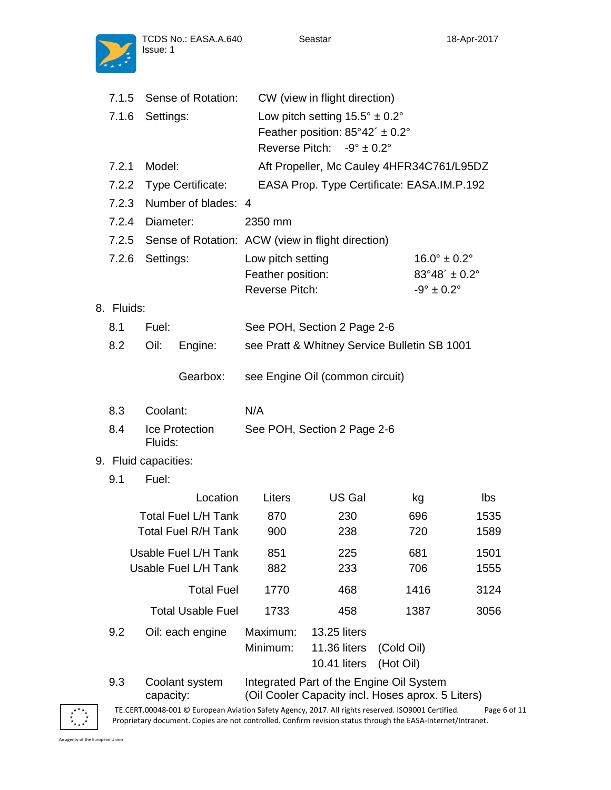

TCDS No.: EASA.A.640

| 7.1.5      |                      | Sense of Rotation:         | CW (view in flight direction)                    |                                                   |                                 |      |
|------------|----------------------|----------------------------|--------------------------------------------------|---------------------------------------------------|---------------------------------|------|
| 7.1.6      | Settings:            |                            | Low pitch setting $15.5^{\circ} \pm 0.2^{\circ}$ |                                                   |                                 |      |
|            |                      |                            |                                                  | Feather position: $85^{\circ}42' \pm 0.2^{\circ}$ |                                 |      |
|            |                      |                            |                                                  | Reverse Pitch: $-9^{\circ} \pm 0.2^{\circ}$       |                                 |      |
| 7.2.1      | Model:               |                            |                                                  | Aft Propeller, Mc Cauley 4HFR34C761/L95DZ         |                                 |      |
| 7.2.2      |                      | Type Certificate:          |                                                  | EASA Prop. Type Certificate: EASA.IM.P.192        |                                 |      |
| 7.2.3      |                      | Number of blades: 4        |                                                  |                                                   |                                 |      |
| 7.2.4      | Diameter:            |                            | 2350 mm                                          |                                                   |                                 |      |
| 7.2.5      |                      |                            |                                                  | Sense of Rotation: ACW (view in flight direction) |                                 |      |
| 7.2.6      | Settings:            |                            | Low pitch setting                                |                                                   | $16.0^{\circ} \pm 0.2^{\circ}$  |      |
|            |                      |                            | Feather position:                                |                                                   | $83^{\circ}48' \pm 0.2^{\circ}$ |      |
|            |                      |                            | <b>Reverse Pitch:</b>                            |                                                   | $-9^{\circ} \pm 0.2^{\circ}$    |      |
| 8. Fluids: |                      |                            |                                                  |                                                   |                                 |      |
| 8.1        | Fuel:                |                            |                                                  | See POH, Section 2 Page 2-6                       |                                 |      |
| 8.2        | Oil:                 | Engine:                    |                                                  | see Pratt & Whitney Service Bulletin SB 1001      |                                 |      |
|            |                      |                            |                                                  |                                                   |                                 |      |
|            |                      | Gearbox:                   |                                                  | see Engine Oil (common circuit)                   |                                 |      |
| 8.3        | Coolant:             |                            | N/A                                              |                                                   |                                 |      |
| 8.4        | Fluids:              | Ice Protection             |                                                  | See POH, Section 2 Page 2-6                       |                                 |      |
|            | 9. Fluid capacities: |                            |                                                  |                                                   |                                 |      |
| 9.1        | Fuel:                |                            |                                                  |                                                   |                                 |      |
|            |                      | Location                   | Liters                                           | US Gal                                            | kg                              | Ibs  |
|            |                      | <b>Total Fuel L/H Tank</b> | 870                                              | 230                                               | 696                             | 1535 |
|            |                      | <b>Total Fuel R/H Tank</b> | 900                                              | 238                                               | 720                             | 1589 |
|            |                      | Usable Fuel L/H Tank       | 851                                              | 225                                               | 681                             | 1501 |
|            |                      | Usable Fuel L/H Tank       | 882                                              | 233                                               | 706                             | 1555 |
|            |                      | <b>Total Fuel</b>          | 1770                                             | 468                                               | 1416                            | 3124 |
|            |                      | <b>Total Usable Fuel</b>   | 1733                                             | 458                                               | 1387                            | 3056 |
| 9.2        |                      | Oil: each engine           | Maximum:                                         | 13.25 liters                                      |                                 |      |

#### 9.3 Coolant system capacity: Integrated Part of the Engine Oil System (Oil Cooler Capacity incl. Hoses aprox. 5 Liters)



 TE.CERT.00048-001 © European Aviation Safety Agency, 2017. All rights reserved. ISO9001 Certified. Page 6 of 11 Proprietary document. Copies are not controlled. Confirm revision status through the EASA-Internet/Intranet.

Minimum: 11.36 liters (Cold Oil)

10.41 liters (Hot Oil)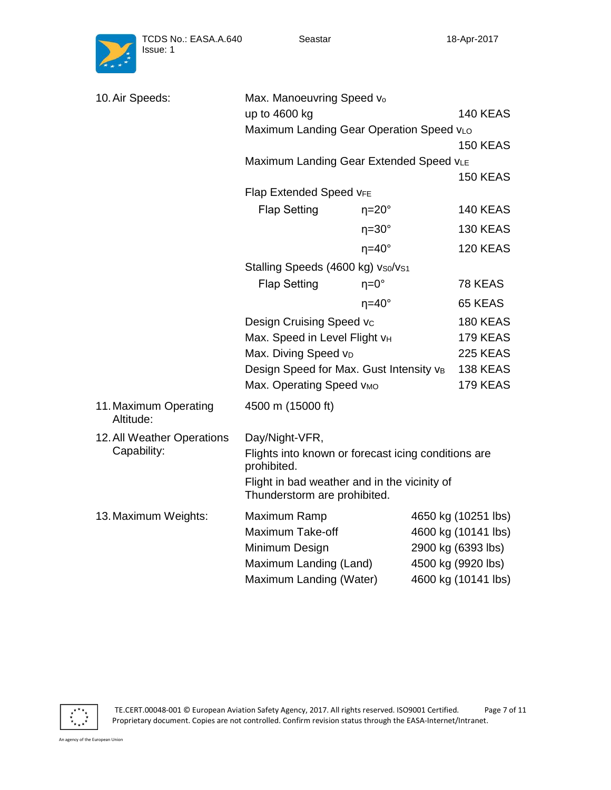

| 10. Air Speeds:                    | Max. Manoeuvring Speed vo                                                    |                     |  |                     |
|------------------------------------|------------------------------------------------------------------------------|---------------------|--|---------------------|
|                                    | up to 4600 kg                                                                | <b>140 KEAS</b>     |  |                     |
|                                    | Maximum Landing Gear Operation Speed vLo                                     |                     |  | <b>150 KEAS</b>     |
|                                    | Maximum Landing Gear Extended Speed VLE                                      |                     |  |                     |
|                                    |                                                                              |                     |  | <b>150 KEAS</b>     |
|                                    | Flap Extended Speed VFE                                                      |                     |  |                     |
|                                    | <b>Flap Setting</b>                                                          | $\eta = 20^{\circ}$ |  | <b>140 KEAS</b>     |
|                                    |                                                                              | $\eta = 30^\circ$   |  | <b>130 KEAS</b>     |
|                                    |                                                                              | $\eta = 40^\circ$   |  | 120 KEAS            |
|                                    | Stalling Speeds (4600 kg) vso/vs1                                            |                     |  |                     |
|                                    | <b>Flap Setting</b>                                                          | $\eta = 0^{\circ}$  |  | 78 KEAS             |
|                                    |                                                                              | $\eta = 40^\circ$   |  | 65 KEAS             |
|                                    | Design Cruising Speed vc                                                     |                     |  | <b>180 KEAS</b>     |
|                                    | Max. Speed in Level Flight VH                                                |                     |  | <b>179 KEAS</b>     |
|                                    | Max. Diving Speed vD                                                         |                     |  | <b>225 KEAS</b>     |
|                                    | Design Speed for Max. Gust Intensity vB                                      |                     |  | <b>138 KEAS</b>     |
|                                    | Max. Operating Speed VMO                                                     |                     |  | 179 KEAS            |
| 11. Maximum Operating<br>Altitude: | 4500 m (15000 ft)                                                            |                     |  |                     |
| 12. All Weather Operations         | Day/Night-VFR,                                                               |                     |  |                     |
| Capability:                        | Flights into known or forecast icing conditions are<br>prohibited.           |                     |  |                     |
|                                    | Flight in bad weather and in the vicinity of<br>Thunderstorm are prohibited. |                     |  |                     |
| 13. Maximum Weights:               | Maximum Ramp                                                                 |                     |  | 4650 kg (10251 lbs) |
|                                    | Maximum Take-off                                                             |                     |  | 4600 kg (10141 lbs) |
|                                    | Minimum Design                                                               |                     |  | 2900 kg (6393 lbs)  |
|                                    | Maximum Landing (Land)                                                       |                     |  | 4500 kg (9920 lbs)  |
|                                    | Maximum Landing (Water)                                                      |                     |  | 4600 kg (10141 lbs) |



 TE.CERT.00048-001 © European Aviation Safety Agency, 2017. All rights reserved. ISO9001 Certified. Page 7 of 11 Proprietary document. Copies are not controlled. Confirm revision status through the EASA-Internet/Intranet.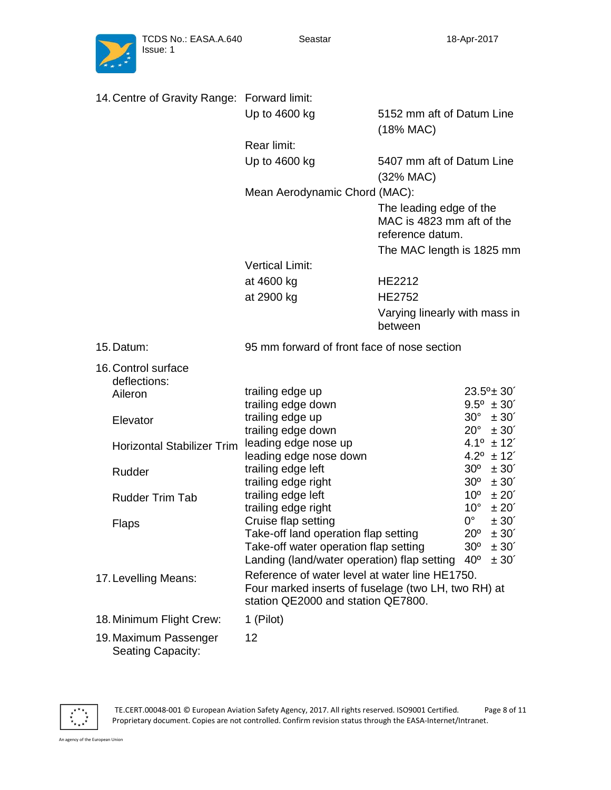

| 14. Centre of Gravity Range: Forward limit:       |                                                                                                                                                     |                                                                          |                                                                                                                          |
|---------------------------------------------------|-----------------------------------------------------------------------------------------------------------------------------------------------------|--------------------------------------------------------------------------|--------------------------------------------------------------------------------------------------------------------------|
|                                                   | Up to 4600 kg                                                                                                                                       | 5152 mm aft of Datum Line<br>(18% MAC)                                   |                                                                                                                          |
|                                                   | Rear limit:                                                                                                                                         |                                                                          |                                                                                                                          |
|                                                   | Up to 4600 kg                                                                                                                                       | 5407 mm aft of Datum Line<br>(32% MAC)                                   |                                                                                                                          |
|                                                   | Mean Aerodynamic Chord (MAC):                                                                                                                       |                                                                          |                                                                                                                          |
|                                                   |                                                                                                                                                     | The leading edge of the<br>MAC is 4823 mm aft of the<br>reference datum. |                                                                                                                          |
|                                                   |                                                                                                                                                     | The MAC length is 1825 mm                                                |                                                                                                                          |
|                                                   | <b>Vertical Limit:</b>                                                                                                                              |                                                                          |                                                                                                                          |
|                                                   | at 4600 kg                                                                                                                                          | HE2212                                                                   |                                                                                                                          |
|                                                   | at 2900 kg                                                                                                                                          | <b>HE2752</b>                                                            |                                                                                                                          |
|                                                   |                                                                                                                                                     | Varying linearly with mass in<br>between                                 |                                                                                                                          |
| 15. Datum:                                        | 95 mm forward of front face of nose section                                                                                                         |                                                                          |                                                                                                                          |
| 16. Control surface<br>deflections:               |                                                                                                                                                     |                                                                          |                                                                                                                          |
| Aileron                                           | trailing edge up                                                                                                                                    |                                                                          | $23.5^{\circ}$ ± 30'                                                                                                     |
|                                                   | trailing edge down<br>trailing edge up                                                                                                              |                                                                          | $9.5^{\circ}$ ± 30 <sup>'</sup><br>$30^{\circ}$<br>$\pm 30'$                                                             |
| Elevator                                          | trailing edge down                                                                                                                                  |                                                                          | $20^{\circ}$<br>$\pm 30'$                                                                                                |
| <b>Horizontal Stabilizer Trim</b>                 | leading edge nose up<br>leading edge nose down                                                                                                      |                                                                          | $4.1^{\circ}$ ± 12'<br>$4.2^{\circ}$ ± 12 <sup>'</sup>                                                                   |
| Rudder                                            | trailing edge left<br>trailing edge right                                                                                                           |                                                                          | $30^{\circ}$<br>$\pm 30'$<br>$30^{\circ}$<br>$\pm 30'$                                                                   |
| <b>Rudder Trim Tab</b>                            | trailing edge left<br>trailing edge right                                                                                                           |                                                                          | $10^{\circ}$<br>$\pm 20'$<br>$10^{\circ}$<br>$\pm 20^{\degree}$                                                          |
| Flaps                                             | Cruise flap setting<br>Take-off land operation flap setting<br>Take-off water operation flap setting<br>Landing (land/water operation) flap setting |                                                                          | $0^{\circ}$<br>$\pm 30'$<br>$20^{\circ}$<br>$\pm 30'$<br>30 <sup>o</sup><br>± 30'<br>40 <sup>o</sup><br>$\pm 30^{\circ}$ |
| 17. Levelling Means:                              | Reference of water level at water line HE1750.<br>Four marked inserts of fuselage (two LH, two RH) at<br>station QE2000 and station QE7800.         |                                                                          |                                                                                                                          |
| 18. Minimum Flight Crew:                          | 1 (Pilot)                                                                                                                                           |                                                                          |                                                                                                                          |
| 19. Maximum Passenger<br><b>Seating Capacity:</b> | 12                                                                                                                                                  |                                                                          |                                                                                                                          |



 TE.CERT.00048-001 © European Aviation Safety Agency, 2017. All rights reserved. ISO9001 Certified. Page 8 of 11 Proprietary document. Copies are not controlled. Confirm revision status through the EASA-Internet/Intranet.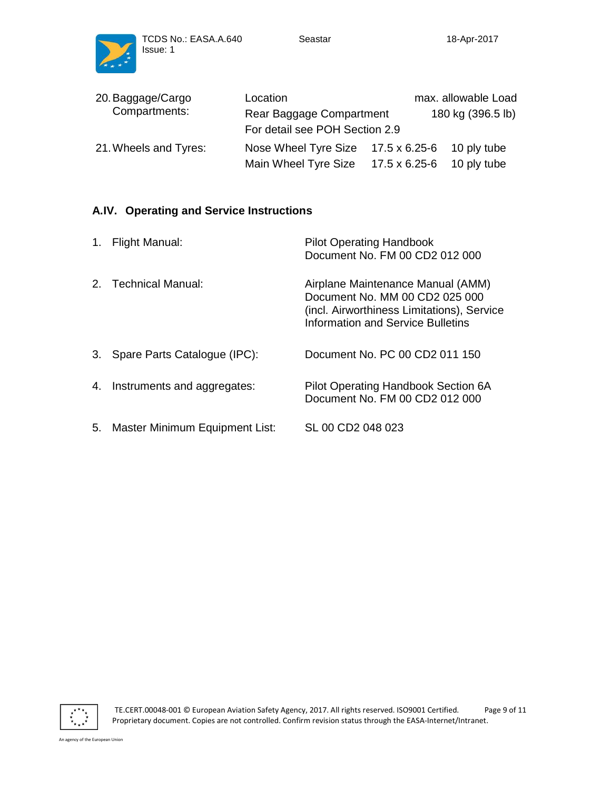

| 20. Baggage/Cargo     | Location                                    |               | max. allowable Load |
|-----------------------|---------------------------------------------|---------------|---------------------|
| Compartments:         | Rear Baggage Compartment                    |               | 180 kg (396.5 lb)   |
|                       | For detail see POH Section 2.9              |               |                     |
| 21. Wheels and Tyres: | Nose Wheel Tyre Size $17.5 \times 6.25 - 6$ |               | 10 ply tube         |
|                       | Main Wheel Tyre Size                        | 17.5 x 6.25-6 | 10 ply tube         |

# **A.IV. Operating and Service Instructions**

| $1_{\cdot}$ | <b>Flight Manual:</b>          | <b>Pilot Operating Handbook</b><br>Document No. FM 00 CD2 012 000                                                                                             |
|-------------|--------------------------------|---------------------------------------------------------------------------------------------------------------------------------------------------------------|
|             | 2. Technical Manual:           | Airplane Maintenance Manual (AMM)<br>Document No. MM 00 CD2 025 000<br>(incl. Airworthiness Limitations), Service<br><b>Information and Service Bulletins</b> |
| 3.          | Spare Parts Catalogue (IPC):   | Document No. PC 00 CD2 011 150                                                                                                                                |
|             | 4. Instruments and aggregates: | Pilot Operating Handbook Section 6A<br>Document No. FM 00 CD2 012 000                                                                                         |
| 5.          | Master Minimum Equipment List: | SL 00 CD2 048 023                                                                                                                                             |



 TE.CERT.00048-001 © European Aviation Safety Agency, 2017. All rights reserved. ISO9001 Certified. Page 9 of 11 Proprietary document. Copies are not controlled. Confirm revision status through the EASA-Internet/Intranet.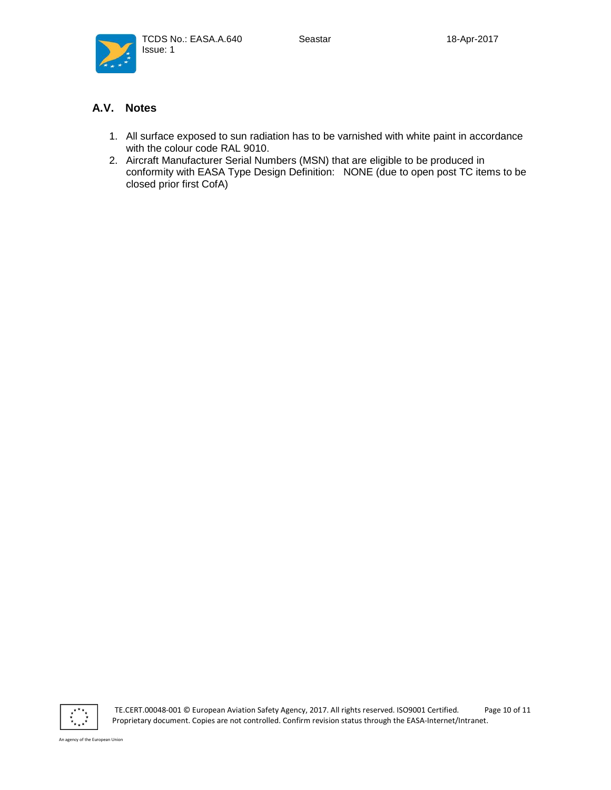



### **A.V. Notes**

- 1. All surface exposed to sun radiation has to be varnished with white paint in accordance with the colour code RAL 9010.
- 2. Aircraft Manufacturer Serial Numbers (MSN) that are eligible to be produced in conformity with EASA Type Design Definition: NONE (due to open post TC items to be closed prior first CofA)



 TE.CERT.00048-001 © European Aviation Safety Agency, 2017. All rights reserved. ISO9001 Certified. Page 10 of 11 Proprietary document. Copies are not controlled. Confirm revision status through the EASA-Internet/Intranet.